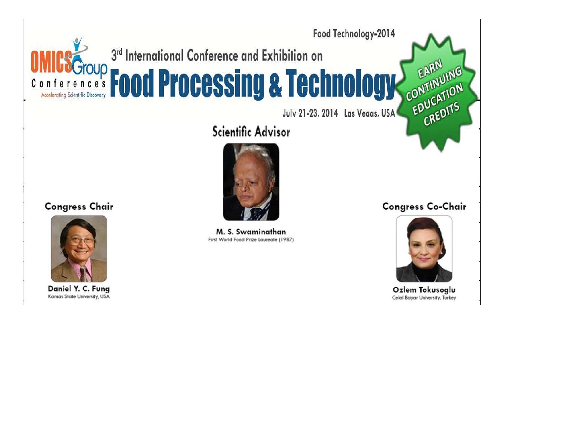

Scientific Advisor



M. S. Swaminathan First World Food Prize Laureate (1987)

**Congress Co-Chair** 



Ozlem Tokusoglu Celal Bayar University, Turkey

#### **Congress Chair**



Daniel Y. C. Fung Kansas State University, USA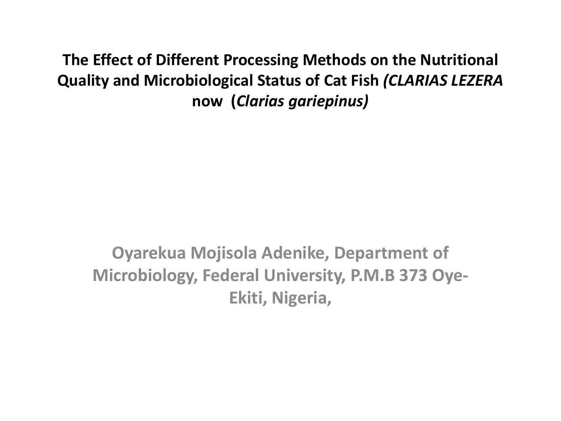**The Effect of Different Processing Methods on the Nutritional Quality and Microbiological Status of Cat Fish** *(CLARIAS LEZERA*  **now (***Clarias gariepinus)*

**Oyarekua Mojisola Adenike, Department of Microbiology, Federal University, P.M.B 373 Oye-Ekiti, Nigeria,**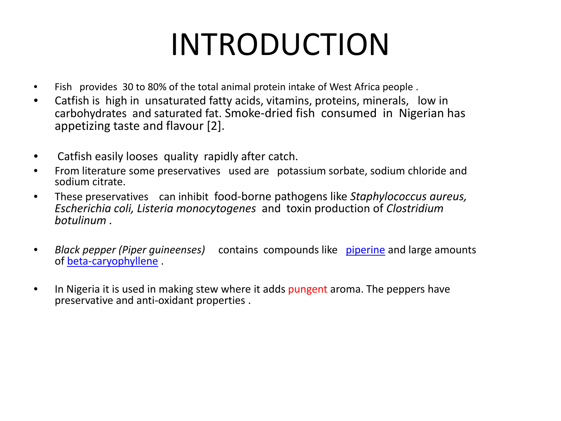# INTRODUCTION

- Fish provides 30 to 80% of the total animal protein intake of West Africa people .
- Catfish is high in unsaturated fatty acids, vitamins, proteins, minerals, low in carbohydrates and saturated fat. Smoke-dried fish consumed in Nigerian has appetizing taste and flavour [2].
- Catfish easily looses quality rapidly after catch.
- From literature some preservatives used are potassium sorbate, sodium chloride and sodium citrate.
- These preservatives can inhibit food-borne pathogens like *Staphylococcus aureus, Escherichia coli, Listeria monocytogenes* and toxin production of *Clostridium botulinum .*
- *Black pepper (Piper guineenses)* contains compounds like [piperine](http://en.wikipedia.org/wiki/Piperine) and large amounts of [beta-caryophyllene](http://en.wikipedia.org/wiki/Caryophyllene) .
- In Nigeria it is used in making stew where it adds pungent aroma. The peppers have preservative and anti-oxidant properties .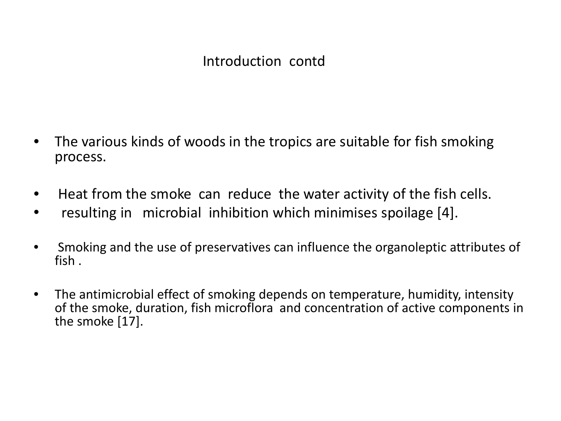- The various kinds of woods in the tropics are suitable for fish smoking process.
- Heat from the smoke can reduce the water activity of the fish cells.
- resulting in microbial inhibition which minimises spoilage [4].
- Smoking and the use of preservatives can influence the organoleptic attributes of fish .
- The antimicrobial effect of smoking depends on temperature, humidity, intensity of the smoke, duration, fish microflora and concentration of active components in the smoke [17].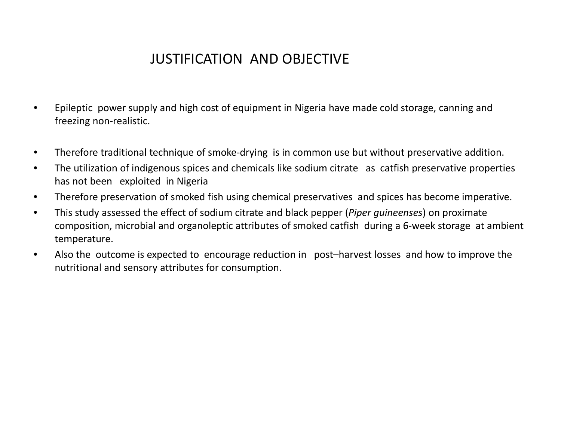## JUSTIFICATION AND OBJECTIVE

- Epileptic power supply and high cost of equipment in Nigeria have made cold storage, canning and freezing non-realistic.
- Therefore traditional technique of smoke-drying is in common use but without preservative addition.
- The utilization of indigenous spices and chemicals like sodium citrate as catfish preservative properties has not been exploited in Nigeria
- Therefore preservation of smoked fish using chemical preservatives and spices has become imperative.
- This study assessed the effect of sodium citrate and black pepper (*Piper guineenses*) on proximate composition, microbial and organoleptic attributes of smoked catfish during a 6-week storage at ambient temperature.
- Also the outcome is expected to encourage reduction in post–harvest losses and how to improve the nutritional and sensory attributes for consumption.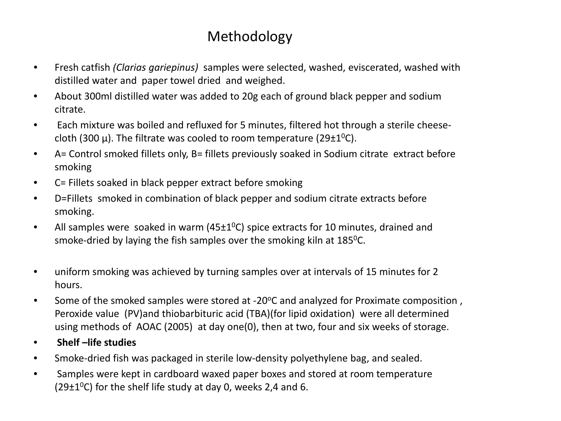## Methodology

- Fresh catfish *(Clarias gariepinus)* samples were selected, washed, eviscerated, washed with distilled water and paper towel dried and weighed.
- About 300ml distilled water was added to 20g each of ground black pepper and sodium citrate.
- Each mixture was boiled and refluxed for 5 minutes, filtered hot through a sterile cheesecloth (300  $\mu$ ). The filtrate was cooled to room temperature (29 $\pm$ 1<sup>0</sup>C).
- A= Control smoked fillets only, B= fillets previously soaked in Sodium citrate extract before smoking
- C= Fillets soaked in black pepper extract before smoking
- D=Fillets smoked in combination of black pepper and sodium citrate extracts before smoking.
- All samples were soaked in warm (45 $\pm$ 1<sup>0</sup>C) spice extracts for 10 minutes, drained and smoke-dried by laying the fish samples over the smoking kiln at 185<sup>0</sup>C.
- uniform smoking was achieved by turning samples over at intervals of 15 minutes for 2 hours.
- Some of the smoked samples were stored at -20°C and analyzed for Proximate composition, Peroxide value (PV)and thiobarbituric acid (TBA)(for lipid oxidation) were all determined using methods of AOAC (2005) at day one(0), then at two, four and six weeks of storage.
- **Shelf –life studies**
- Smoke-dried fish was packaged in sterile low-density polyethylene bag, and sealed.
- Samples were kept in cardboard waxed paper boxes and stored at room temperature (29 $\pm$ 1<sup>o</sup>C) for the shelf life study at day 0, weeks 2,4 and 6.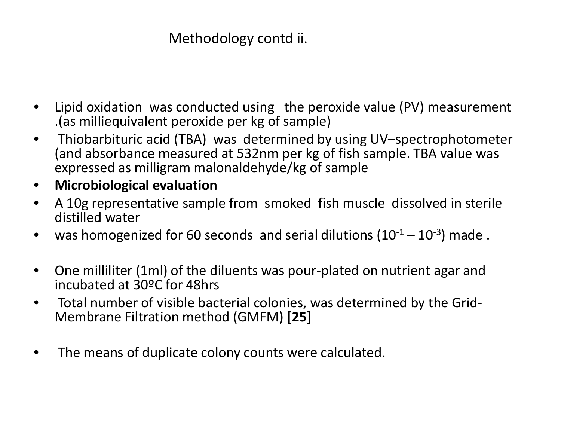## Methodology contd ii.

- Lipid oxidation was conducted using the peroxide value (PV) measurement .(as milliequivalent peroxide per kg of sample)
- Thiobarbituric acid (TBA) was determined by using UV–spectrophotometer (and absorbance measured at 532nm per kg of fish sample. TBA value was expressed as milligram malonaldehyde/kg of sample
- **Microbiological evaluation**
- A 10g representative sample from smoked fish muscle dissolved in sterile distilled water
- was homogenized for 60 seconds and serial dilutions  $(10^{-1} 10^{-3})$  made.
- One milliliter (1ml) of the diluents was pour-plated on nutrient agar and incubated at 30ºC for 48hrs
- Total number of visible bacterial colonies, was determined by the Grid- Membrane Filtration method (GMFM) **[25]**
- The means of duplicate colony counts were calculated.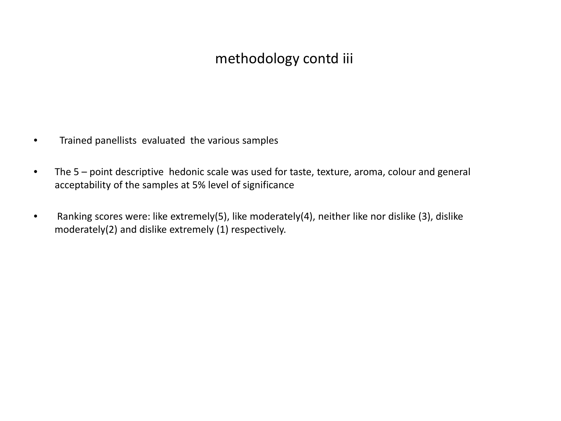### methodology contd iii

- Trained panellists evaluated the various samples
- The 5 point descriptive hedonic scale was used for taste, texture, aroma, colour and general acceptability of the samples at 5% level of significance
- Ranking scores were: like extremely(5), like moderately(4), neither like nor dislike (3), dislike moderately(2) and dislike extremely (1) respectively.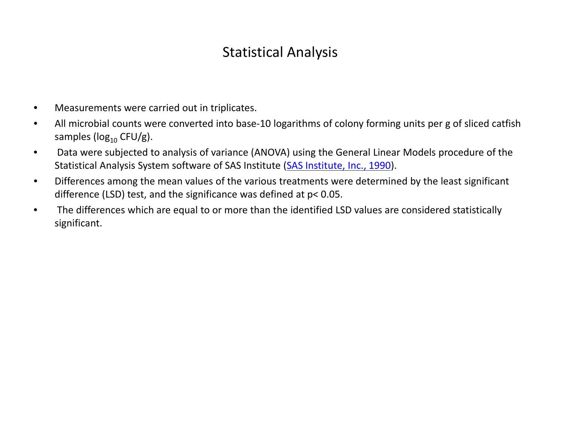## Statistical Analysis

- Measurements were carried out in triplicates.
- All microbial counts were converted into base-10 logarithms of colony forming units per g of sliced catfish samples ( $log_{10}$  CFU/g).
- Data were subjected to analysis of variance (ANOVA) using the General Linear Models procedure of the Statistical Analysis System software of SAS Institute (SAS Institute, Inc., 1990).
- Differences among the mean values of the various treatments were determined by the least significant difference (LSD) test, and the significance was defined at p< 0.05.
- The differences which are equal to or more than the identified LSD values are considered statistically significant.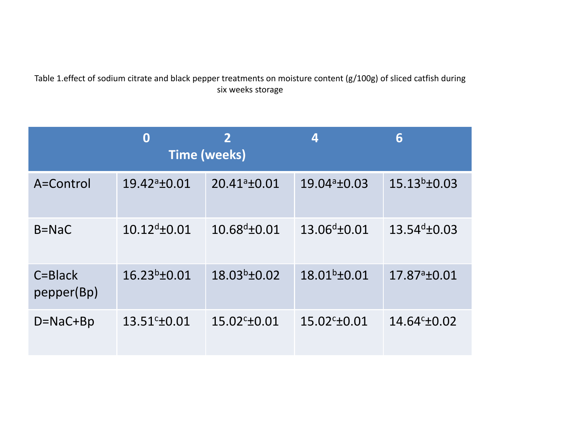#### Table 1.effect of sodium citrate and black pepper treatments on moisture content (g/100g) of sliced catfish during six weeks storage

|                           | 0                     | $\overline{2}$<br><b>Time (weeks)</b> | 4                     | 6                        |
|---------------------------|-----------------------|---------------------------------------|-----------------------|--------------------------|
| A=Control                 | $19.42a_{\pm}0.01$    | $20.41a_{\pm}0.01$                    | $19.04a_{\pm}0.03$    | $15.13^{b} \pm 0.03$     |
| $B = NaC$                 | $10.12^{d}$ + 0.01    | $10.68^{d}$ ± 0.01                    | $13.06^{d}$ ±0.01     | $13.54^{d} \pm 0.03$     |
| $C = Black$<br>pepper(Bp) | $16.23^{b} \pm 0.01$  | $18.03^{b} \pm 0.02$                  | $18.01b \pm 0.01$     | 17.87 <sup>a</sup> ±0.01 |
| $D = NaC + Bp$            | $13.51^{\circ}$ ±0.01 | $15.02^{\circ}$ ±0.01                 | $15.02^{\circ}$ ±0.01 | $14.64^{\circ}$ ±0.02    |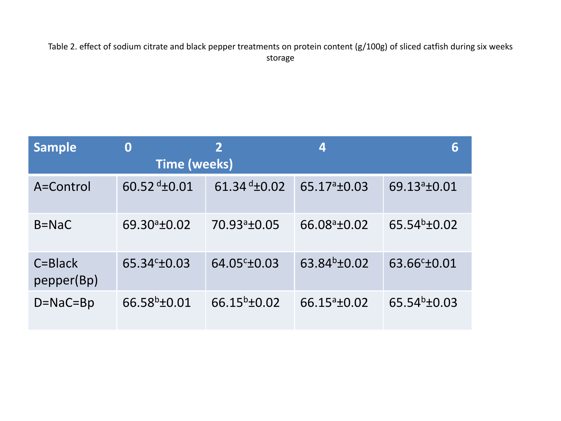Table 2. effect of sodium citrate and black pepper treatments on protein content (g/100g) of sliced catfish during six weeks storage

| <b>Sample</b>             | 0<br><b>Time (weeks)</b> | $\overline{2}$           | 4                     | 6                           |
|---------------------------|--------------------------|--------------------------|-----------------------|-----------------------------|
| A=Control                 | 60.52 $d_{\pm}$ 0.01     | 61.34 $d_{\pm}$ 0.02     | $65.17a_{1}$ +0.03    | 69.13 <sup>a</sup> ±0.01    |
| $B = NaC$                 | $69.30a_{1}+0.02$        | 70.93 <sup>a</sup> ±0.05 | $66.08^{\circ}$ ±0.02 | $65.54^{b} \pm 0.02$        |
| $C = Black$<br>pepper(Bp) | $65.34c_{\pm}0.03$       | 64.05 <sup>c</sup> ±0.03 | $63.84^{b} \pm 0.02$  | 63.66 <sup>c</sup> ±0.01    |
| $D = NaC = Bp$            | $66.58^{b} \pm 0.01$     | $66.15^{b} \pm 0.02$     | $66.15^{\circ}$ ±0.02 | 65.54 $b$ <sup>+</sup> 0.03 |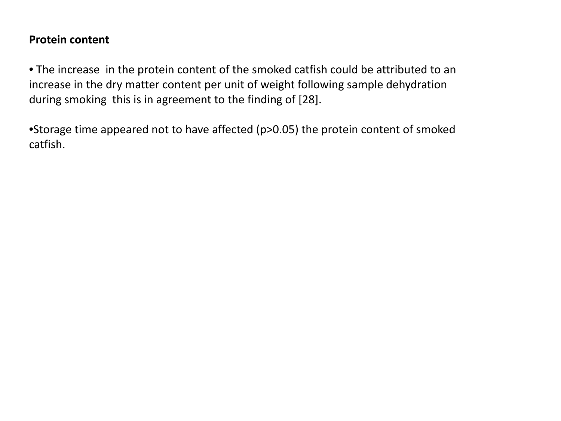#### **Protein content**

• The increase in the protein content of the smoked catfish could be attributed to an increase in the dry matter content per unit of weight following sample dehydration during smoking this is in agreement to the finding of [28].

•Storage time appeared not to have affected (p>0.05) the protein content of smoked catfish.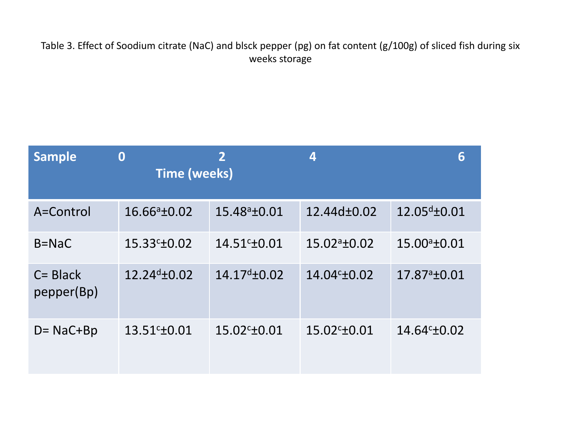Table 3. Effect of Soodium citrate (NaC) and blsck pepper (pg) on fat content (g/100g) of sliced fish during six weeks storage

| <b>Sample</b>             | $\bf{0}$<br><b>Time (weeks)</b> | $\overline{2}$        | 4                     | 6                  |
|---------------------------|---------------------------------|-----------------------|-----------------------|--------------------|
| A=Control                 | $16.66a_{\pm}0.02$              | $15.48^a \pm 0.01$    | 12.44d±0.02           | $12.05^{d}$ ±0.01  |
| $B = NaC$                 | $15.33c_{\pm}0.02$              | $14.51^{\circ}$ ±0.01 | $15.02a_{\pm}0.02$    | $15.00^a \pm 0.01$ |
| $C = Black$<br>pepper(Bp) | $12.24^{d} \pm 0.02$            | $14.17^{d} \pm 0.02$  | $14.04c_{\pm}0.02$    | $17.87a_{\pm}0.01$ |
| $D = NaC + Bp$            | $13.51c + 0.01$                 | $15.02^{\circ}$ ±0.01 | $15.02^{\circ}$ ±0.01 | $14.64c_{\pm}0.02$ |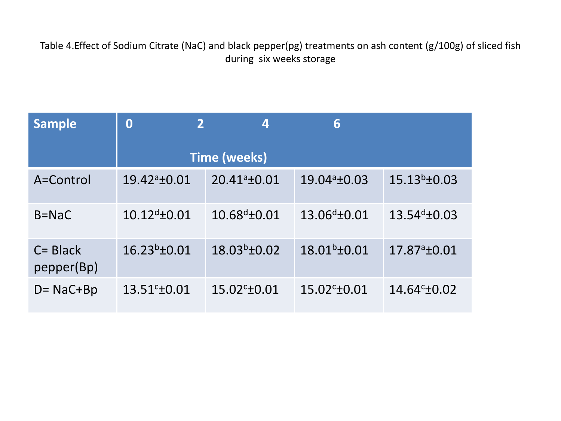Table 4.Effect of Sodium Citrate (NaC) and black pepper(pg) treatments on ash content (g/100g) of sliced fish during six weeks storage

| <b>Sample</b>             | $\overline{2}$<br>$\bf{0}$ | $\boldsymbol{4}$      | 6                     |                       |  |
|---------------------------|----------------------------|-----------------------|-----------------------|-----------------------|--|
|                           | <b>Time (weeks)</b>        |                       |                       |                       |  |
| A=Control                 | $19.42^a \pm 0.01$         | $20.41^a \pm 0.01$    | $19.04^a \pm 0.03$    | $15.13^{b} \pm 0.03$  |  |
| $B = NaC$                 | $10.12^{d}$ ±0.01          | $10.68^{d}$ ±0.01     | $13.06^{d}$ ±0.01     | $13.54^{d} \pm 0.03$  |  |
| $C = Black$<br>pepper(Bp) | $16.23^{b} \pm 0.01$       | $18.03^{b} \pm 0.02$  | $18.01^b \pm 0.01$    | $17.87a_{\pm}0.01$    |  |
| $D = NaC + Bp$            | $13.51^{\circ}$ ±0.01      | $15.02^{\circ}$ ±0.01 | $15.02^{\circ}$ ±0.01 | $14.64^{\circ}$ ±0.02 |  |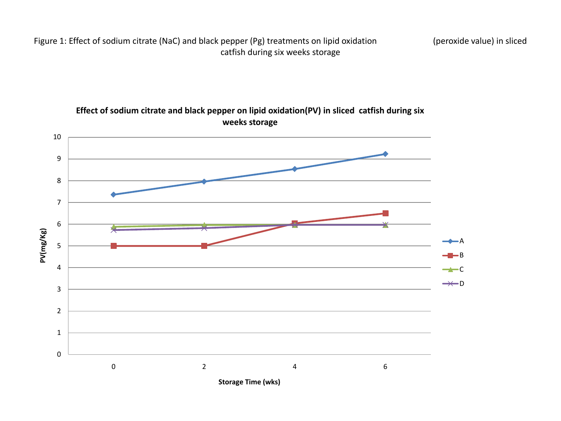Figure 1: Effect of sodium citrate (NaC) and black pepper (Pg) treatments on lipid oxidation (peroxide value) in sliced catfish during six weeks storage



**Effect of sodium citrate and black pepper on lipid oxidation(PV) in sliced catfish during six weeks storage**

**Storage Time (wks)**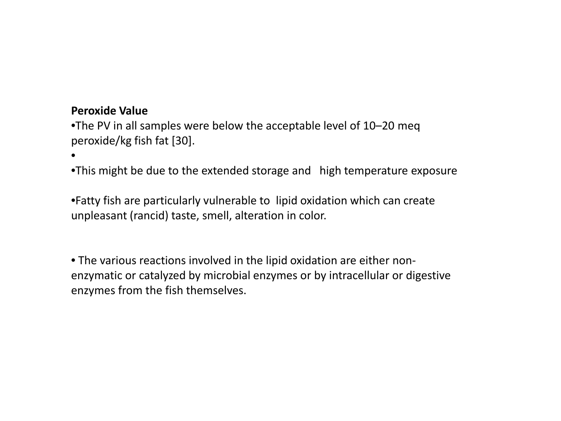#### **Peroxide Value**

•

•The PV in all samples were below the acceptable level of 10–20 meq peroxide/kg fish fat [30].

•This might be due to the extended storage and high temperature exposure

•Fatty fish are particularly vulnerable to lipid oxidation which can create unpleasant (rancid) taste, smell, alteration in color.

• The various reactions involved in the lipid oxidation are either nonenzymatic or catalyzed by microbial enzymes or by intracellular or digestive enzymes from the fish themselves.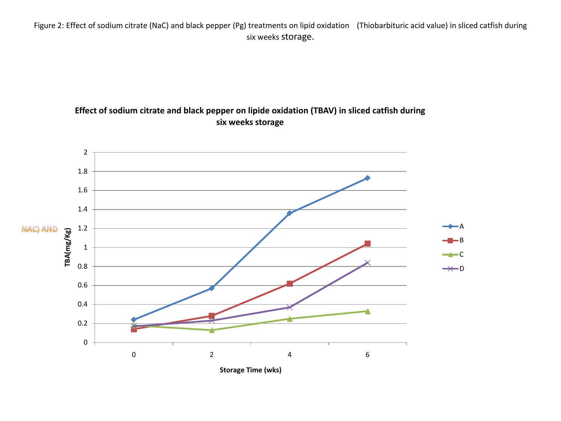Figure 2: Effect of sodium citrate (NaC) and black pepper (Pg) treatments on lipid oxidation (Thiobarbituric acid value) in sliced catfish during six weeks storage.

#### **Effect of sodium citrate and black pepper on lipide oxidation (TBAV) in sliced catfish during six weeks storage**

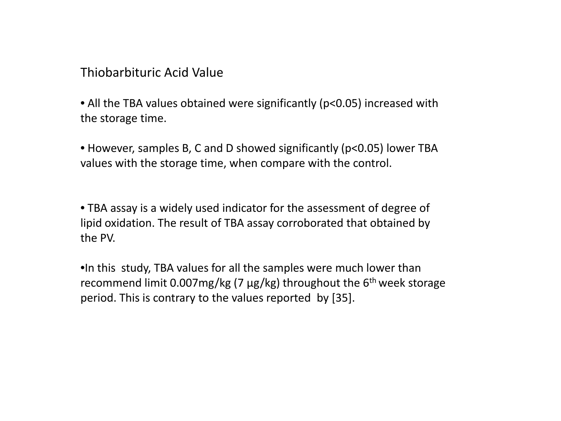Thiobarbituric Acid Value

• All the TBA values obtained were significantly (p<0.05) increased with the storage time.

• However, samples B, C and D showed significantly (p<0.05) lower TBA values with the storage time, when compare with the control.

• TBA assay is a widely used indicator for the assessment of degree of lipid oxidation. The result of TBA assay corroborated that obtained by the PV.

•In this study, TBA values for all the samples were much lower than recommend limit 0.007mg/kg (7 μg/kg) throughout the  $6<sup>th</sup>$  week storage period. This is contrary to the values reported by [35].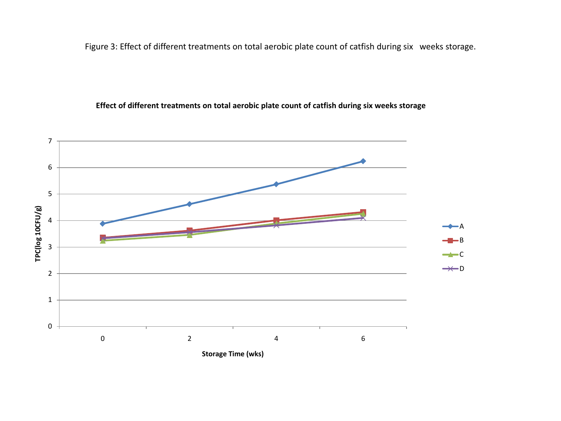Figure 3: Effect of different treatments on total aerobic plate count of catfish during six weeks storage.

#### **Effect of different treatments on total aerobic plate count of catfish during six weeks storage**

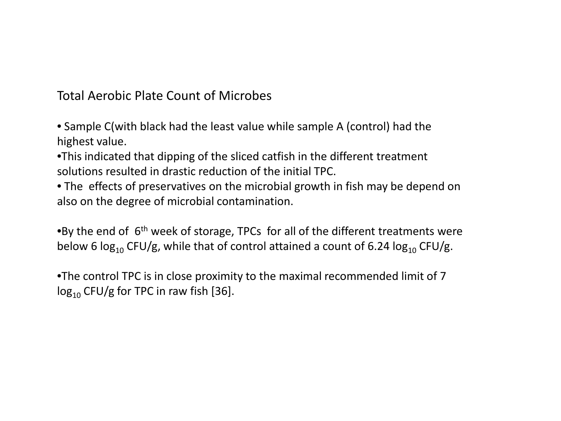Total Aerobic Plate Count of Microbes

- Sample C(with black had the least value while sample A (control) had the highest value.
- •This indicated that dipping of the sliced catfish in the different treatment solutions resulted in drastic reduction of the initial TPC.
- The effects of preservatives on the microbial growth in fish may be depend on also on the degree of microbial contamination.

•By the end of  $6<sup>th</sup>$  week of storage, TPCs for all of the different treatments were below 6  $log_{10}$  CFU/g, while that of control attained a count of 6.24  $log_{10}$  CFU/g.

•The control TPC is in close proximity to the maximal recommended limit of 7  $log_{10}$  CFU/g for TPC in raw fish [36].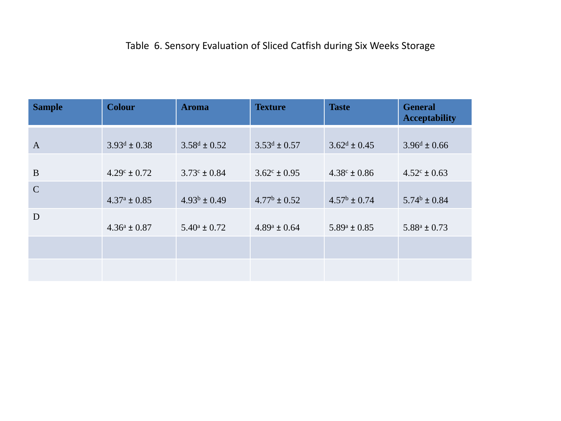### Table 6. Sensory Evaluation of Sliced Catfish during Six Weeks Storage

| <b>Sample</b>  | <b>Colour</b>           | <b>Aroma</b>            | <b>Texture</b>          | <b>Taste</b>            | <b>General</b><br><b>Acceptability</b> |
|----------------|-------------------------|-------------------------|-------------------------|-------------------------|----------------------------------------|
| $\overline{A}$ | $3.93^d \pm 0.38$       | $3.58^d \pm 0.52$       | $3.53^d \pm 0.57$       | $3.62^d \pm 0.45$       | $3.96^d \pm 0.66$                      |
| B              | $4.29^{\circ} \pm 0.72$ | $3.73^{\circ} \pm 0.84$ | $3.62^{\circ} \pm 0.95$ | $4.38^{\circ} \pm 0.86$ | $4.52^{\circ} \pm 0.63$                |
| $\mathcal{C}$  | $4.37^{\rm a} \pm 0.85$ | $4.93^b \pm 0.49$       | $4.77^{\rm b} \pm 0.52$ | $4.57^{\rm b} \pm 0.74$ | $5.74^b \pm 0.84$                      |
| D              | $4.36^a \pm 0.87$       | $5.40^{\circ} \pm 0.72$ | $4.89^a \pm 0.64$       | $5.89^{\rm a} \pm 0.85$ | $5.88^a \pm 0.73$                      |
|                |                         |                         |                         |                         |                                        |
|                |                         |                         |                         |                         |                                        |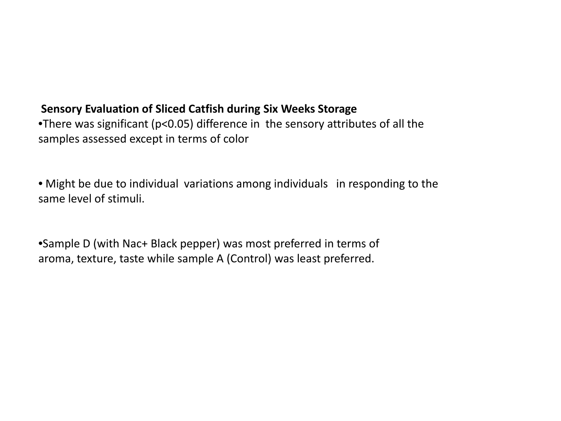#### **Sensory Evaluation of Sliced Catfish during Six Weeks Storage**

•There was significant (p<0.05) difference in the sensory attributes of all the samples assessed except in terms of color

• Might be due to individual variations among individuals in responding to the same level of stimuli.

•Sample D (with Nac+ Black pepper) was most preferred in terms of aroma, texture, taste while sample A (Control) was least preferred.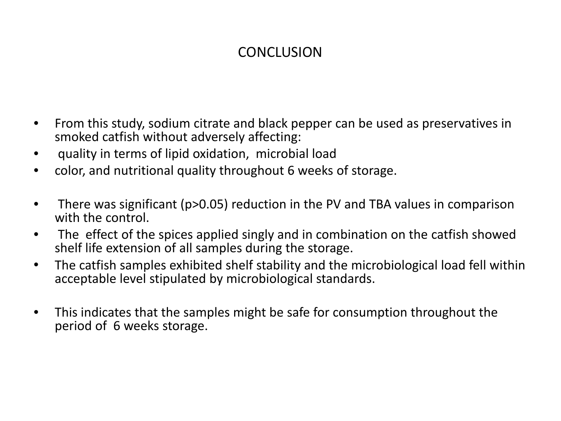## **CONCLUSION**

- From this study, sodium citrate and black pepper can be used as preservatives in smoked catfish without adversely affecting:
- quality in terms of lipid oxidation, microbial load
- color, and nutritional quality throughout 6 weeks of storage.
- There was significant (p>0.05) reduction in the PV and TBA values in comparison with the control.
- The effect of the spices applied singly and in combination on the catfish showed shelf life extension of all samples during the storage.
- The catfish samples exhibited shelf stability and the microbiological load fell within acceptable level stipulated by microbiological standards.
- This indicates that the samples might be safe for consumption throughout the period of 6 weeks storage.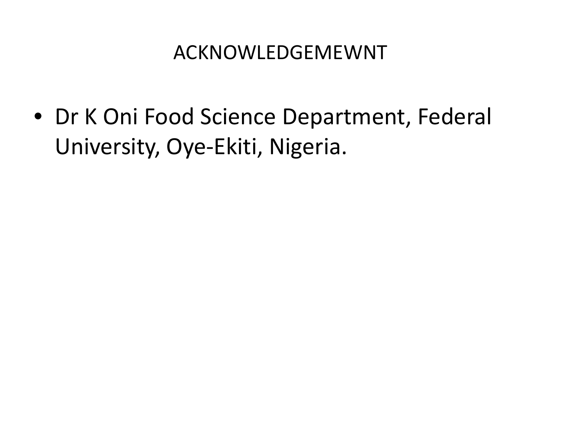## ACKNOWLEDGEMEWNT

• Dr K Oni Food Science Department, Federal University, Oye-Ekiti, Nigeria.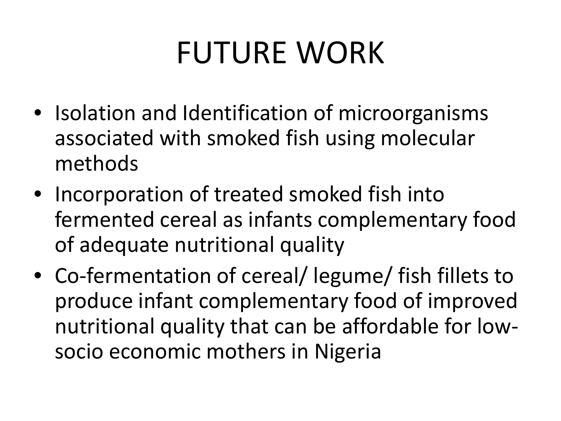# FUTURE WORK

- Isolation and Identification of microorganisms associated with smoked fish using molecular methods
- Incorporation of treated smoked fish into fermented cereal as infants complementary food of adequate nutritional quality
- Co-fermentation of cereal/ legume/ fish fillets to produce infant complementary food of improved nutritional quality that can be affordable for lowsocio economic mothers in Nigeria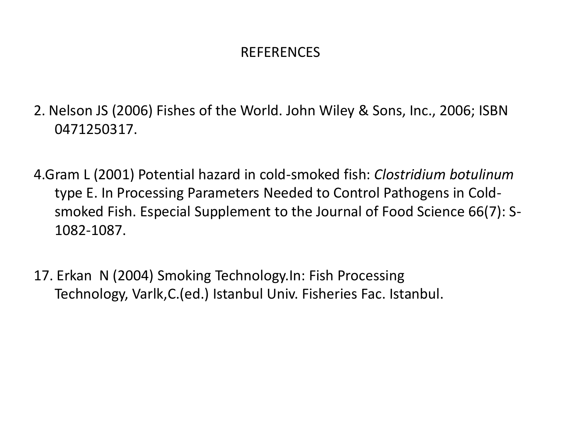### REFERENCES

- 2. Nelson JS (2006) Fishes of the World. John Wiley & Sons, Inc., 2006; ISBN 0471250317.
- 4.Gram L (2001) Potential hazard in cold-smoked fish: *Clostridium botulinum* type E. In Processing Parameters Needed to Control Pathogens in Coldsmoked Fish. Especial Supplement to the Journal of Food Science 66(7): S-1082-1087.
- 17. Erkan N (2004) Smoking Technology.In: Fish Processing Technology, Varlk,C.(ed.) Istanbul Univ. Fisheries Fac. Istanbul.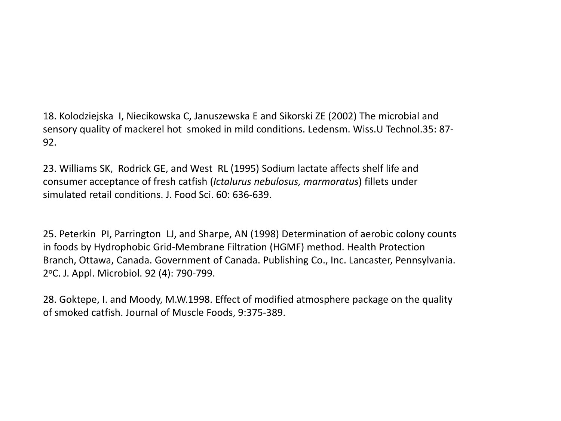18. Kolodziejska I, Niecikowska C, Januszewska E and Sikorski ZE (2002) The microbial and sensory quality of mackerel hot smoked in mild conditions. Ledensm. Wiss.U Technol.35: 87- 92.

23. Williams SK, Rodrick GE, and West RL (1995) Sodium lactate affects shelf life and consumer acceptance of fresh catfish (*Ictalurus nebulosus, marmoratus*) fillets under simulated retail conditions. J. Food Sci. 60: 636-639.

25. Peterkin PI, Parrington LJ, and Sharpe, AN (1998) Determination of aerobic colony counts in foods by Hydrophobic Grid-Membrane Filtration (HGMF) method. Health Protection Branch, Ottawa, Canada. Government of Canada. Publishing Co., Inc. Lancaster, Pennsylvania. 2oC. J. Appl. Microbiol. 92 (4): 790-799.

28. Goktepe, I. and Moody, M.W.1998. Effect of modified atmosphere package on the quality of smoked catfish. Journal of Muscle Foods, 9:375-389.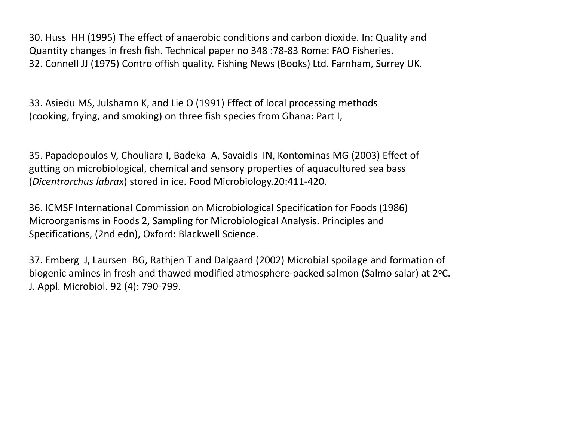30. Huss HH (1995) The effect of anaerobic conditions and carbon dioxide. In: Quality and Quantity changes in fresh fish. Technical paper no 348 :78-83 Rome: FAO Fisheries. 32. Connell JJ (1975) Contro offish quality. Fishing News (Books) Ltd. Farnham, Surrey UK.

33. Asiedu MS, Julshamn K, and Lie O (1991) Effect of local processing methods (cooking, frying, and smoking) on three fish species from Ghana: Part I,

35. Papadopoulos V, Chouliara I, Badeka A, Savaidis IN, Kontominas MG (2003) Effect of gutting on microbiological, chemical and sensory properties of aquacultured sea bass (*Dicentrarchus labrax*) stored in ice. Food Microbiology.20:411-420.

36. ICMSF International Commission on Microbiological Specification for Foods (1986) Microorganisms in Foods 2, Sampling for Microbiological Analysis. Principles and Specifications, (2nd edn), Oxford: Blackwell Science.

37. Emberg J, Laursen BG, Rathjen T and Dalgaard (2002) Microbial spoilage and formation of biogenic amines in fresh and thawed modified atmosphere-packed salmon (Salmo salar) at 2°C. J. Appl. Microbiol. 92 (4): 790-799.